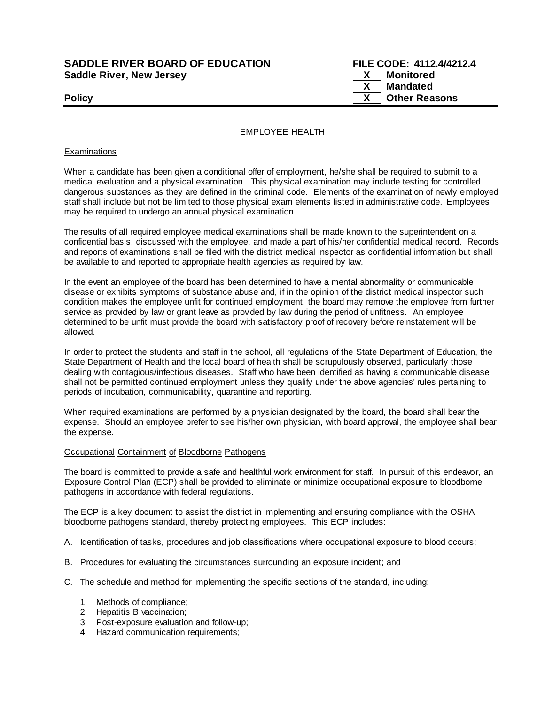# **SADDLE RIVER BOARD OF EDUCATION FILE CODE: 4112.4/4212.4 Saddle River, New Jersey X Monitored**

 **X Mandated Policy COLLEGENS Policy COLLEGENS COLLEGENS COLLEGENS X Other Reasons** 

## EMPLOYEE HEALTH

### **Examinations**

When a candidate has been given a conditional offer of employment, he/she shall be required to submit to a medical evaluation and a physical examination. This physical examination may include testing for controlled dangerous substances as they are defined in the criminal code. Elements of the examination of newly employed staff shall include but not be limited to those physical exam elements listed in administrative code. Employees may be required to undergo an annual physical examination.

The results of all required employee medical examinations shall be made known to the superintendent on a confidential basis, discussed with the employee, and made a part of his/her confidential medical record. Records and reports of examinations shall be filed with the district medical inspector as confidential information but shall be available to and reported to appropriate health agencies as required by law.

In the event an employee of the board has been determined to have a mental abnormality or communicable disease or exhibits symptoms of substance abuse and, if in the opinion of the district medical inspector such condition makes the employee unfit for continued employment, the board may remove the employee from further service as provided by law or grant leave as provided by law during the period of unfitness. An employee determined to be unfit must provide the board with satisfactory proof of recovery before reinstatement will be allowed.

In order to protect the students and staff in the school, all regulations of the State Department of Education, the State Department of Health and the local board of health shall be scrupulously observed, particularly those dealing with contagious/infectious diseases. Staff who have been identified as having a communicable disease shall not be permitted continued employment unless they qualify under the above agencies' rules pertaining to periods of incubation, communicability, quarantine and reporting.

When required examinations are performed by a physician designated by the board, the board shall bear the expense. Should an employee prefer to see his/her own physician, with board approval, the employee shall bear the expense.

#### Occupational Containment of Bloodborne Pathogens

The board is committed to provide a safe and healthful work environment for staff. In pursuit of this endeavor, an Exposure Control Plan (ECP) shall be provided to eliminate or minimize occupational exposure to bloodborne pathogens in accordance with federal regulations.

The ECP is a key document to assist the district in implementing and ensuring compliance wit h the OSHA bloodborne pathogens standard, thereby protecting employees. This ECP includes:

- A. Identification of tasks, procedures and job classifications where occupational exposure to blood occurs;
- B. Procedures for evaluating the circumstances surrounding an exposure incident; and
- C. The schedule and method for implementing the specific sections of the standard, including:
	- 1. Methods of compliance;
	- 2. Hepatitis B vaccination;
	- 3. Post-exposure evaluation and follow-up;
	- 4. Hazard communication requirements;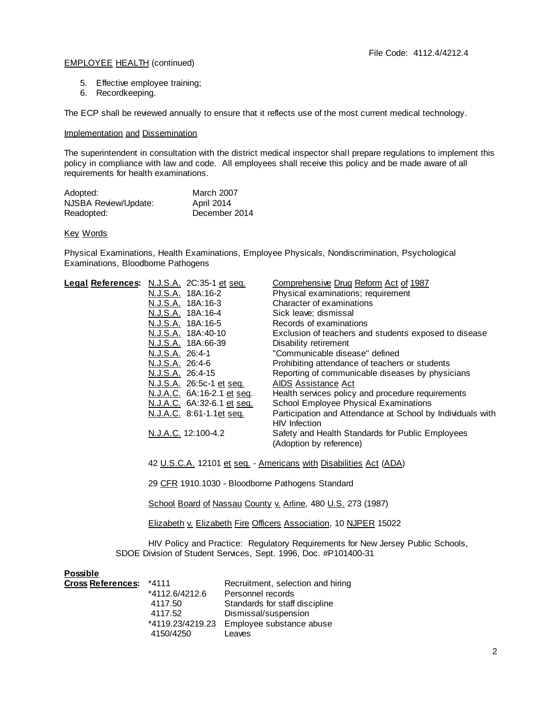# EMPLOYEE HEALTH (continued)

- 5. Effective employee training;
- 6. Recordkeeping.

The ECP shall be reviewed annually to ensure that it reflects use of the most current medical technology.

### Implementation and Dissemination

The superintendent in consultation with the district medical inspector shall prepare regulations to implement this policy in compliance with law and code. All employees shall receive this policy and be made aware of all requirements for health examinations.

| Adopted:             | <b>March 2007</b> |
|----------------------|-------------------|
| NJSBA Review/Update: | April 2014        |
| Readopted:           | December 2014     |

#### Key Words

Physical Examinations, Health Examinations, Employee Physicals, Nondiscrimination, Psychological Examinations, Bloodborne Pathogens

| Legal References: N.J.S.A. 2C:35-1 et seq. |                                                                   |                      | Comprehensive Drug Reform Act of 1987                                           |
|--------------------------------------------|-------------------------------------------------------------------|----------------------|---------------------------------------------------------------------------------|
|                                            | N.J.S.A. 18A:16-2                                                 |                      | Physical examinations; requirement                                              |
|                                            | <u>N.J.S.A.</u> 18A:16-3                                          |                      | Character of examinations                                                       |
|                                            | N.J.S.A. 18A:16-4                                                 |                      | Sick leave; dismissal                                                           |
|                                            | N.J.S.A. 18A:16-5                                                 |                      | Records of examinations                                                         |
|                                            | <u>N.J.S.A.</u> 18A:40-10                                         |                      | Exclusion of teachers and students exposed to disease                           |
|                                            | N.J.S.A. 18A:66-39                                                |                      | Disability retirement                                                           |
|                                            | N.J.S.A. 26:4-1                                                   |                      | "Communicable disease" defined                                                  |
|                                            | N.J.S.A. 26:4-6                                                   |                      | Prohibiting attendance of teachers or students                                  |
|                                            | N.J.S.A. 26:4-15                                                  |                      | Reporting of communicable diseases by physicians                                |
|                                            | N.J.S.A. 26:5c-1 et seq.                                          |                      | AIDS Assistance Act                                                             |
|                                            | N.J.A.C. 6A:16-2.1 et seq.                                        |                      | Health services policy and procedure requirements                               |
|                                            | N.J.A.C. 6A:32-6.1 et seq.                                        |                      | School Employee Physical Examinations                                           |
|                                            | N.J.A.C. 8:61-1.1et seq.                                          |                      | Participation and Attendance at School by Individuals with<br>HIV Infection     |
|                                            | N.J.A.C. 12:100-4.2                                               |                      | Safety and Health Standards for Public Employees                                |
|                                            |                                                                   |                      | (Adoption by reference)                                                         |
|                                            |                                                                   |                      |                                                                                 |
|                                            | 42 U.S.C.A. 12101 et seq. - Americans with Disabilities Act (ADA) |                      |                                                                                 |
|                                            | 29 CFR 1910.1030 - Bloodborne Pathogens Standard                  |                      |                                                                                 |
|                                            |                                                                   |                      |                                                                                 |
|                                            | School Board of Nassau County v. Arline, 480 U.S. 273 (1987)      |                      |                                                                                 |
|                                            | Elizabeth v. Elizabeth Fire Officers Association, 10 NJPER 15022  |                      |                                                                                 |
|                                            |                                                                   |                      | HIV Policy and Practice: Regulatory Requirements for New Jersey Public Schools, |
|                                            |                                                                   |                      | SDOE Division of Student Services, Sept. 1996, Doc. #P101400-31                 |
|                                            |                                                                   |                      |                                                                                 |
| <b>Possible</b>                            |                                                                   |                      |                                                                                 |
| <b>Cross References:</b>                   | $*4111$                                                           |                      | Recruitment, selection and hiring                                               |
|                                            | *4112.6/4212.6                                                    | Personnel records    |                                                                                 |
|                                            | 4117.50                                                           |                      | Standards for staff discipline                                                  |
|                                            | 4117.52                                                           | Dismissal/suspension |                                                                                 |

\*4119.23/4219.23 Employee substance abuse

4150/4250 Leaves